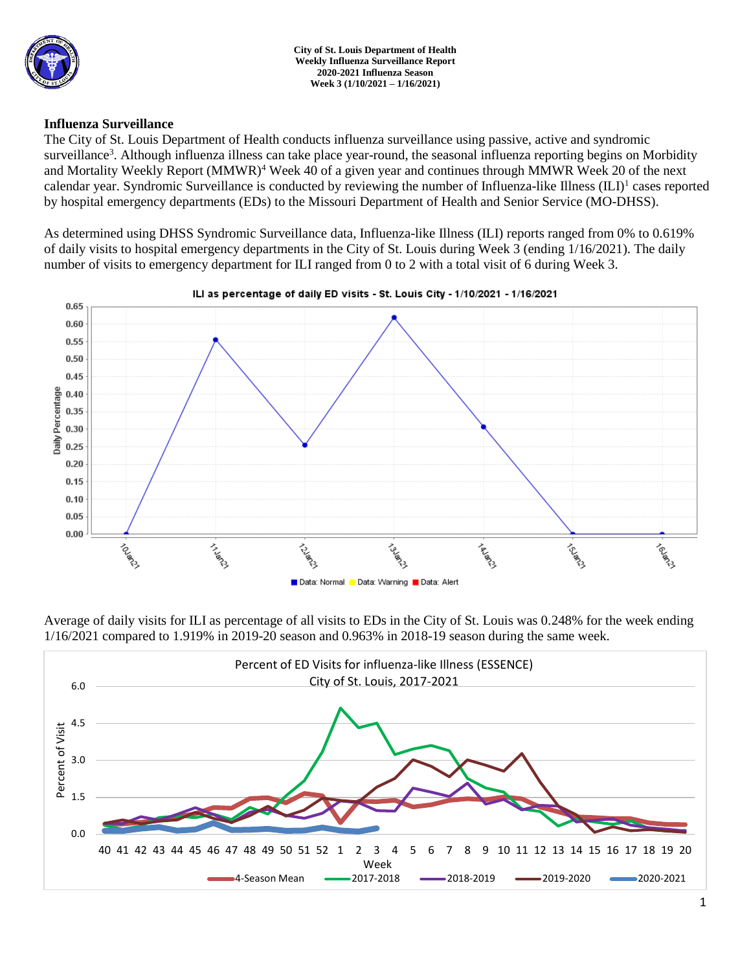

### **Influenza Surveillance**

The City of St. Louis Department of Health conducts influenza surveillance using passive, active and syndromic surveillance<sup>3</sup>. Although influenza illness can take place year-round, the seasonal influenza reporting begins on Morbidity and Mortality Weekly Report (MMWR)<sup>4</sup> Week 40 of a given year and continues through MMWR Week 20 of the next calendar year. Syndromic Surveillance is conducted by reviewing the number of Influenza-like Illness (ILI)<sup>1</sup> cases reported by hospital emergency departments (EDs) to the Missouri Department of Health and Senior Service (MO-DHSS).

As determined using DHSS Syndromic Surveillance data, Influenza-like Illness (ILI) reports ranged from 0% to 0.619% of daily visits to hospital emergency departments in the City of St. Louis during Week 3 (ending 1/16/2021). The daily number of visits to emergency department for ILI ranged from 0 to 2 with a total visit of 6 during Week 3.



Average of daily visits for ILI as percentage of all visits to EDs in the City of St. Louis was 0.248% for the week ending 1/16/2021 compared to 1.919% in 2019-20 season and 0.963% in 2018-19 season during the same week.

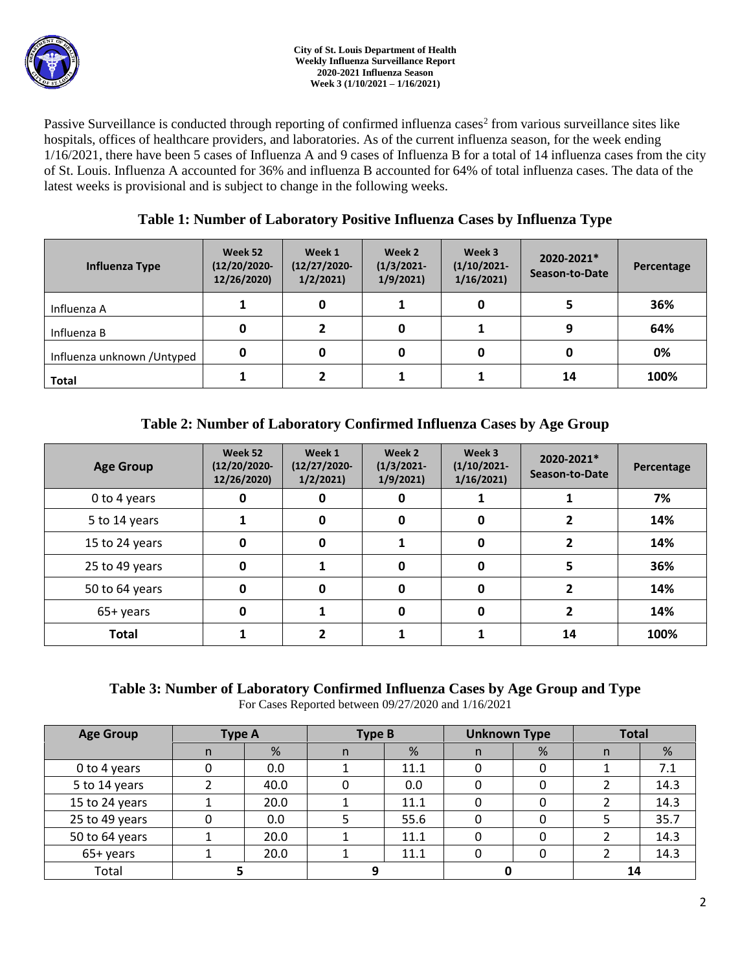

Passive Surveillance is conducted through reporting of confirmed influenza cases<sup>2</sup> from various surveillance sites like hospitals, offices of healthcare providers, and laboratories. As of the current influenza season, for the week ending 1/16/2021, there have been 5 cases of Influenza A and 9 cases of Influenza B for a total of 14 influenza cases from the city of St. Louis. Influenza A accounted for 36% and influenza B accounted for 64% of total influenza cases. The data of the latest weeks is provisional and is subject to change in the following weeks.

# **Table 1: Number of Laboratory Positive Influenza Cases by Influenza Type**

| Influenza Type              | Week 52<br>$(12/20/2020 -$<br>12/26/2020) | Week 1<br>$(12/27/2020 -$<br>1/2/2021 | Week 2<br>$(1/3/2021 -$<br>1/9/2021 | Week 3<br>$(1/10/2021 -$<br>1/16/2021 | 2020-2021*<br>Season-to-Date | Percentage |
|-----------------------------|-------------------------------------------|---------------------------------------|-------------------------------------|---------------------------------------|------------------------------|------------|
| Influenza A                 |                                           | 0                                     |                                     |                                       |                              | 36%        |
| Influenza B                 | 0                                         |                                       | 0                                   |                                       | 9                            | 64%        |
| Influenza unknown / Untyped | 0                                         |                                       | 0                                   |                                       | 0                            | 0%         |
| <b>Total</b>                |                                           |                                       |                                     |                                       | 14                           | 100%       |

# **Table 2: Number of Laboratory Confirmed Influenza Cases by Age Group**

| <b>Age Group</b> | Week 52<br>$(12/20/2020 -$<br>12/26/2020) | Week 1<br>$(12/27/2020 -$<br>1/2/2021 | Week 2<br>$(1/3/2021 -$<br>1/9/2021 | Week 3<br>$(1/10/2021 -$<br>1/16/2021 | 2020-2021*<br>Season-to-Date | Percentage |
|------------------|-------------------------------------------|---------------------------------------|-------------------------------------|---------------------------------------|------------------------------|------------|
| 0 to 4 years     | O                                         | O                                     | 0                                   |                                       |                              | 7%         |
| 5 to 14 years    |                                           | 0                                     | 0                                   | 0                                     |                              | 14%        |
| 15 to 24 years   | 0                                         | 0                                     | 1                                   | 0                                     |                              | 14%        |
| 25 to 49 years   | 0                                         |                                       | 0                                   | 0                                     |                              | 36%        |
| 50 to 64 years   | 0                                         | O                                     | 0                                   | 0                                     |                              | 14%        |
| 65+ years        | 0                                         |                                       | $\bf{0}$                            | 0                                     |                              | 14%        |
| <b>Total</b>     |                                           |                                       |                                     |                                       | 14                           | 100%       |

# **Table 3: Number of Laboratory Confirmed Influenza Cases by Age Group and Type**

For Cases Reported between 09/27/2020 and 1/16/2021

| <b>Age Group</b> | <b>Type A</b> |      | <b>Type B</b> |      | <b>Unknown Type</b> |   | <b>Total</b> |      |
|------------------|---------------|------|---------------|------|---------------------|---|--------------|------|
|                  | n             | %    | n             | %    | n                   | % | n            | %    |
| 0 to 4 years     |               | 0.0  |               | 11.1 |                     |   |              | 7.1  |
| 5 to 14 years    |               | 40.0 |               | 0.0  |                     |   |              | 14.3 |
| 15 to 24 years   |               | 20.0 |               | 11.1 |                     |   |              | 14.3 |
| 25 to 49 years   |               | 0.0  |               | 55.6 |                     |   |              | 35.7 |
| 50 to 64 years   |               | 20.0 |               | 11.1 | 0                   |   |              | 14.3 |
| 65+ years        |               | 20.0 |               | 11.1 |                     |   |              | 14.3 |
| Total            |               |      |               |      |                     |   | 14           |      |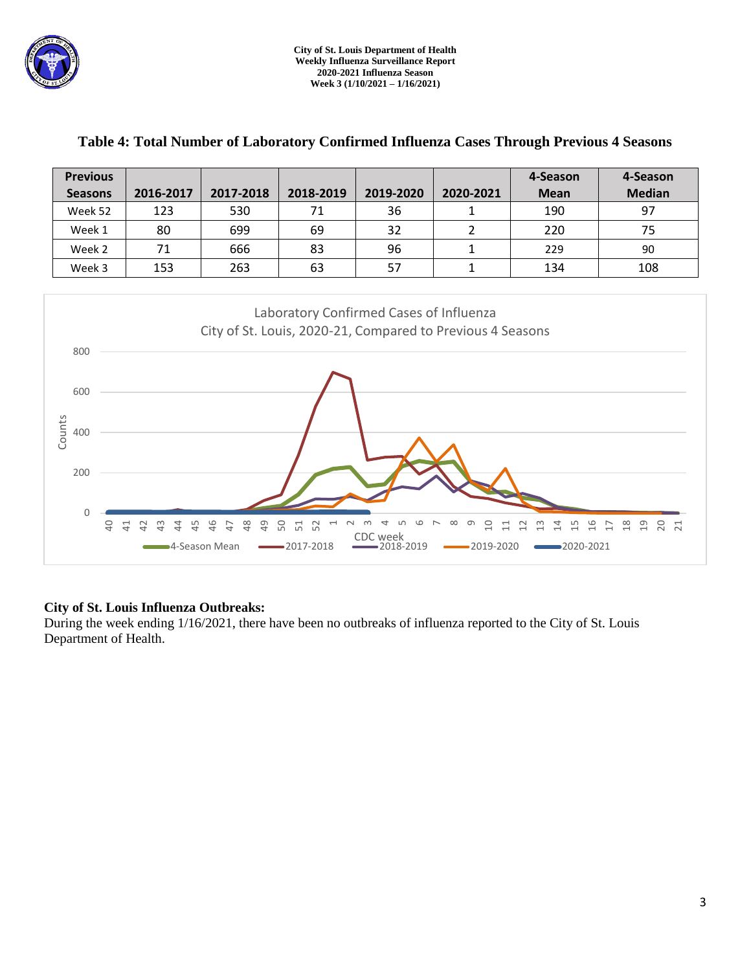

| <b>Previous</b>                                                                                                                                                                                                                                                                       |                                                                                                       |           |           |           |                | 4-Season    | 4-Season      |  |  |  |
|---------------------------------------------------------------------------------------------------------------------------------------------------------------------------------------------------------------------------------------------------------------------------------------|-------------------------------------------------------------------------------------------------------|-----------|-----------|-----------|----------------|-------------|---------------|--|--|--|
| <b>Seasons</b>                                                                                                                                                                                                                                                                        | 2016-2017                                                                                             | 2017-2018 | 2018-2019 | 2019-2020 | 2020-2021      | <b>Mean</b> | <b>Median</b> |  |  |  |
| Week 52                                                                                                                                                                                                                                                                               | 123                                                                                                   | 530       | 71        | 36        | 1              | 190         | 97            |  |  |  |
| Week 1                                                                                                                                                                                                                                                                                | 80                                                                                                    | 699       | 69        | 32        | $\overline{2}$ | 220         | 75            |  |  |  |
| Week 2                                                                                                                                                                                                                                                                                | 71                                                                                                    | 666       | 83        | 96        | $\mathbf{1}$   | 229         | 90            |  |  |  |
| Week 3                                                                                                                                                                                                                                                                                | 153                                                                                                   | 263       | 63        | 57        | $\mathbf{1}$   | 134         | 108           |  |  |  |
| 800<br>600<br>Counts<br>400<br>200<br>0<br>$\Theta$<br>41                                                                                                                                                                                                                             | Laboratory Confirmed Cases of Influenza<br>City of St. Louis, 2020-21, Compared to Previous 4 Seasons |           |           |           |                |             |               |  |  |  |
| 48<br>45<br>46<br>49<br>50<br>52<br>$\frac{1}{6}$<br>$\frac{8}{18}$<br>$\overline{c}$<br>20 21<br>42<br>$\frac{1}{2}$<br>4<br>51<br>음<br>47<br>$\frac{5}{1}$<br>$\overline{17}$<br>₩<br>吕<br>CDC week<br>$-2019-2020$<br>■2020-2021<br>■4-Season Mean<br>-2017-2018<br>$-2018 - 2019$ |                                                                                                       |           |           |           |                |             |               |  |  |  |

## **Table 4: Total Number of Laboratory Confirmed Influenza Cases Through Previous 4 Seasons**

## **City of St. Louis Influenza Outbreaks:**

During the week ending 1/16/2021, there have been no outbreaks of influenza reported to the City of St. Louis Department of Health.